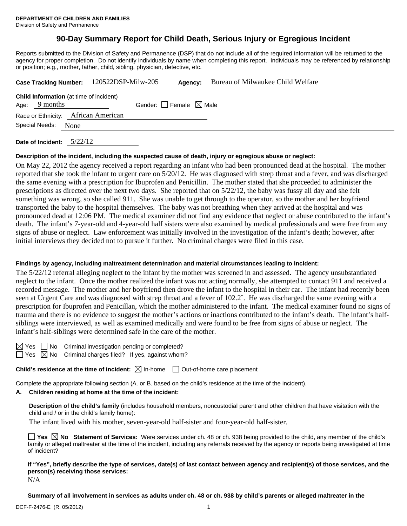# **90-Day Summary Report for Child Death, Serious Injury or Egregious Incident**

Reports submitted to the Division of Safety and Permanence (DSP) that do not include all of the required information will be returned to the agency for proper completion. Do not identify individuals by name when completing this report. Individuals may be referenced by relationship or position; e.g., mother, father, child, sibling, physician, detective, etc.

|                                                                   |      | Case Tracking Number: 120522DSP-Milw-205 |                                 | Agency: | Bureau of Milwaukee Child Welfare |
|-------------------------------------------------------------------|------|------------------------------------------|---------------------------------|---------|-----------------------------------|
| <b>Child Information</b> (at time of incident)<br>Age: $9$ months |      |                                          | Gender: Female $\boxtimes$ Male |         |                                   |
| Race or Ethnicity: African American                               |      |                                          |                                 |         |                                   |
| Special Needs:                                                    | None |                                          |                                 |         |                                   |
|                                                                   |      |                                          |                                 |         |                                   |

**Date of Incident:** 5/22/12

#### **Description of the incident, including the suspected cause of death, injury or egregious abuse or neglect:**

On May 22, 2012 the agency received a report regarding an infant who had been pronounced dead at the hospital. The mother reported that she took the infant to urgent care on 5/20/12. He was diagnosed with strep throat and a fever, and was discharged the same evening with a prescription for Ibuprofen and Penicillin. The mother stated that she proceeded to administer the prescriptions as directed over the next two days. She reported that on 5/22/12, the baby was fussy all day and she felt something was wrong, so she called 911. She was unable to get through to the operator, so the mother and her boyfriend transported the baby to the hospital themselves. The baby was not breathing when they arrived at the hospital and was pronounced dead at 12:06 PM. The medical examiner did not find any evidence that neglect or abuse contributed to the infant's death. The infant's 7-year-old and 4-year-old half sisters were also examined by medical professionals and were free from any signs of abuse or neglect. Law enforcement was initially involved in the investigation of the infant's death; however, after initial interviews they decided not to pursue it further. No criminal charges were filed in this case.

#### **Findings by agency, including maltreatment determination and material circumstances leading to incident:**

The 5/22/12 referral alleging neglect to the infant by the mother was screened in and assessed. The agency unsubstantiated neglect to the infant. Once the mother realized the infant was not acting normally, she attempted to contact 911 and received a recorded message. The mother and her boyfriend then drove the infant to the hospital in their car. The infant had recently been seen at Urgent Care and was diagnosed with strep throat and a fever of 102.2˚. He was discharged the same evening with a prescription for Ibuprofen and Penicillan, which the mother administered to the infant. The medical examiner found no signs of trauma and there is no evidence to suggest the mother's actions or inactions contributed to the infant's death. The infant's halfsiblings were interviewed, as well as examined medically and were found to be free from signs of abuse or neglect. The infant's half-siblings were determined safe in the care of the mother.

 $\boxtimes$  Yes  $\Box$  No Criminal investigation pending or completed?  $\Box$  Yes  $\boxtimes$  No Criminal charges filed? If yes, against whom?

**Child's residence at the time of incident:** ⊠ In-home □ Out-of-home care placement

Complete the appropriate following section (A. or B. based on the child's residence at the time of the incident).

## **A. Children residing at home at the time of the incident:**

**Description of the child's family** (includes household members, noncustodial parent and other children that have visitation with the child and / or in the child's family home):

The infant lived with his mother, seven-year-old half-sister and four-year-old half-sister.

**Yes No Statement of Services:** Were services under ch. 48 or ch. 938 being provided to the child, any member of the child's family or alleged maltreater at the time of the incident, including any referrals received by the agency or reports being investigated at time of incident?

**If "Yes", briefly describe the type of services, date(s) of last contact between agency and recipient(s) of those services, and the person(s) receiving those services:**  N/A

**Summary of all involvement in services as adults under ch. 48 or ch. 938 by child's parents or alleged maltreater in the**